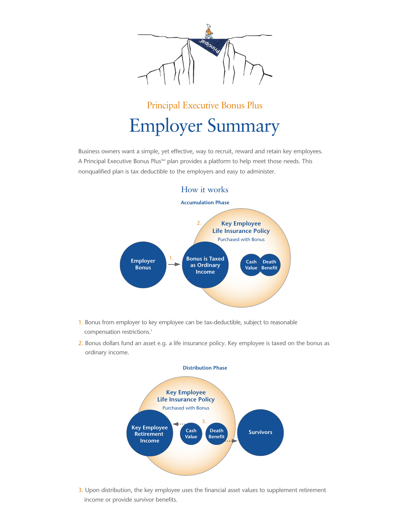

# Principal Executive Bonus Plus Employer Summary

Business owners want a simple, yet effective, way to recruit, reward and retain key employees. A Principal Executive Bonus Plus<sup>5M</sup> plan provides a platform to help meet those needs. This nonqualified plan is tax deductible to the employers and easy to administer.



- 1. Bonus from employer to key employee can be tax-deductible, subject to reasonable compensation restrictions.<sup>1</sup>
- 2. Bonus dollars fund an asset e.g. a life insurance policy. Key employee is taxed on the bonus as ordinary income.



3. Upon distribution, the key employee uses the financial asset values to supplement retirement income or provide survivor benefits.